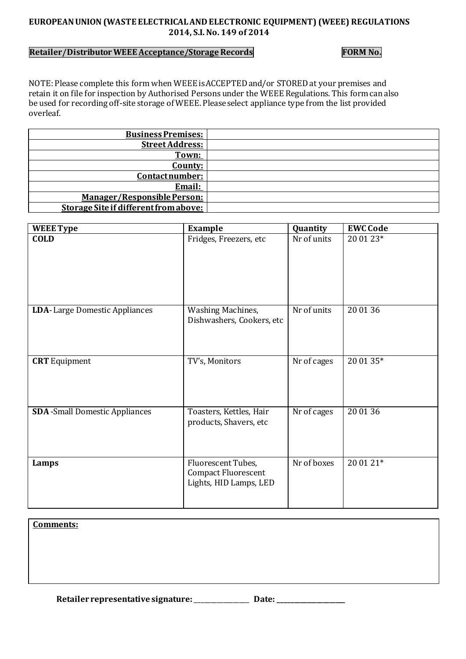## **EUROPEAN UNION (WASTE ELECTRICAL AND ELECTRONIC EQUIPMENT) (WEEE) REGULATIONS 2014, S.I. No. 149 of 2014**

## **Retailer/Distributor WEEE Acceptance/Storage Records** FORM No.

NOTE: Please complete this form when WEEE is ACCEPTED and/or STORED at your premises and retain it on file for inspection by Authorised Persons under the WEEE Regulations. This form can also be used for recording off-site storage of WEEE. Please select appliance type from the list provided overleaf.

| <b>Business Premises:</b>             |  |
|---------------------------------------|--|
| <b>Street Address:</b>                |  |
| Town:                                 |  |
| County:                               |  |
| Contact number:                       |  |
| Email:                                |  |
| <b>Manager/Responsible Person:</b>    |  |
| Storage Site if different from above: |  |

| <b>WEEE Type</b>                      | <b>Example</b>                                                      | Quantity    | <b>EWC Code</b> |
|---------------------------------------|---------------------------------------------------------------------|-------------|-----------------|
| <b>COLD</b>                           | Fridges, Freezers, etc                                              | Nr of units | 20 01 23*       |
| <b>LDA-Large Domestic Appliances</b>  | <b>Washing Machines,</b><br>Dishwashers, Cookers, etc               | Nr of units | 20 01 36        |
| <b>CRT</b> Equipment                  | TV's, Monitors                                                      | Nr of cages | 20 01 35*       |
| <b>SDA</b> -Small Domestic Appliances | Toasters, Kettles, Hair<br>products, Shavers, etc                   | Nr of cages | 20 01 36        |
| Lamps                                 | Fluorescent Tubes,<br>Compact Fluorescent<br>Lights, HID Lamps, LED | Nr of boxes | 20 01 21*       |

**Comments:**

**Retailer representative signature:**\_\_\_\_\_\_\_\_\_\_\_\_\_\_\_\_\_ **Date: \_\_\_\_\_\_\_\_\_\_\_\_\_\_\_\_\_\_\_\_\_**